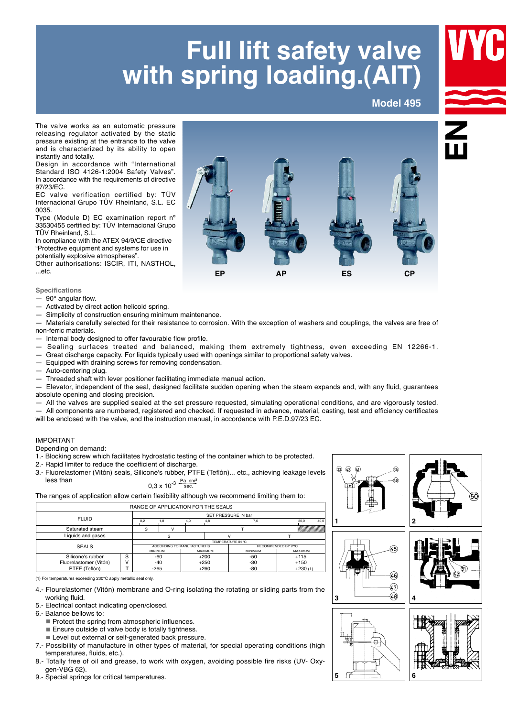## **Full lift safety valve with spring loading.(AIT)**

**Model 495**



The valve works as an automatic pressure releasing regulator activated by the static pressure existing at the entrance to the valve and is characterized by its ability to open instantly and totally.

Design in accordance with "International Standard ISO 4126-1:2004 Safety Valves". In accordance with the requirements of directive 97/23/EC.

EC valve verification certified by: TÜV Internacional Grupo TÜV Rheinland, S.L. EC 0035.

Type (Module D) EC examination report nº 33530455 certified by: TÜV Internacional Grupo TÜV Rheinland, S.L.

In compliance with the ATEX 94/9/CE directive "Protective equipment and systems for use in potentially explosive atmospheres".

Other authorisations: ISCIR, ITI, NASTHOL, ...etc.

## **Specifications**

- $-90^\circ$  angular flow.
- $-$  Activated by direct action helicoid spring.
- 

— Simplicity of construction ensuring minimum maintenance.<br>— Materials carefully selected for their resistance to corrosic Materials carefully selected for their resistance to corrosion. With the exception of washers and couplings, the valves are free of non-ferric materials.

- $-$  Internal body designed to offer favourable flow profile.
- Sealing surfaces treated and balanced, making them extremely tightness, even exceeding EN 12266-1.
- $-$  Great discharge capacity. For liquids typically used with openings similar to proportional safety valves.
- Equipped with draining screws for removing condensation.
- $-$  Auto-centering plug.
- $-$  Threaded shaft with lever positioner facilitating immediate manual action.

Elevator, independent of the seal, designed facilitate sudden opening when the steam expands and, with any fluid, guarantees absolute opening and closing precision.

All the valves are supplied sealed at the set pressure requested, simulating operational conditions, and are vigorously tested.

—aAll components are numbered, registered and checked. If requested in advance, material, casting, test and efficiency certificates

will be enclosed with the valve, and the instruction manual, in accordance with P.E.D.97/23 EC.

## IMPORTANT

Depending on demand:

- 1.- Blocking screw which facilitates hydrostatic testing of the container which to be protected.
- 2.- Rapid limiter to reduce the coefficient of discharge.

3.- Fluorelastomer (Vitón) seals, Silicone's rubber, PTFE (Teflón)... etc., achieving leakage levels less than  $0.3 \times 10^{-3}$   $\frac{Pa \text{ cm}^3}{\text{sec}}$ 

The ranges of application allow certain flexibility although we recommend limiting them to:

| RANGE OF APPLICATION FOR THE SEALS |                     |                |                            |     |         |                    |     |           |      |  |  |  |
|------------------------------------|---------------------|----------------|----------------------------|-----|---------|--------------------|-----|-----------|------|--|--|--|
| <b>FLUID</b>                       | SET PRESSURE IN bar |                |                            |     |         |                    |     |           |      |  |  |  |
|                                    |                     | 0.2            | 1.8                        | 4.0 | 4.8     |                    | 7,0 | 30.0      | 40,0 |  |  |  |
| Saturated steam                    | S                   |                |                            |     |         |                    |     |           |      |  |  |  |
| Liquids and gases                  |                     |                |                            |     |         |                    |     |           |      |  |  |  |
| TEMPERATURE IN °C                  |                     |                |                            |     |         |                    |     |           |      |  |  |  |
| <b>SEALS</b>                       |                     |                | ACCORDING TO MANUFACTURERS |     |         | RECOMMENDED BY VYC |     |           |      |  |  |  |
|                                    |                     | <b>MINIMUM</b> |                            |     | MAXIMUM | <b>MINIMUM</b>     |     | MAXIMUM   |      |  |  |  |
| Silicone's rubber                  | S                   |                | -60                        |     | $+200$  |                    | -50 | $+115$    |      |  |  |  |
| Fluorelastomer (Vitón)             |                     |                | -40                        |     | $+250$  |                    | -30 | $+150$    |      |  |  |  |
| PTFE (Teflón)                      |                     | $-265$         |                            |     | $+260$  |                    | -80 | $+230(1)$ |      |  |  |  |

(1) For temperatures exceeding 230°C apply metallic seal only.

- 4.- Flourelastomer (Vitón) membrane and O-ring isolating the rotating or sliding parts from the working fluid.
- 5.- Electrical contact indicating open/closed.

6.- Balance bellows to:

- $\blacksquare$  Protect the spring from atmospheric influences.
- $\blacksquare$  Ensure outside of valve body is totally tightness.
- **Level out external or self-generated back pressure.**
- 7.- Possibility of manufacture in other types of material, for special operating conditions (high temperatures, fluids, etc.).
- 8.- Totally free of oil and grease, to work with oxygen, avoiding possible fire risks (UV- Oxyqen-VBG 62).
- 9.- Special springs for critical temperatures.